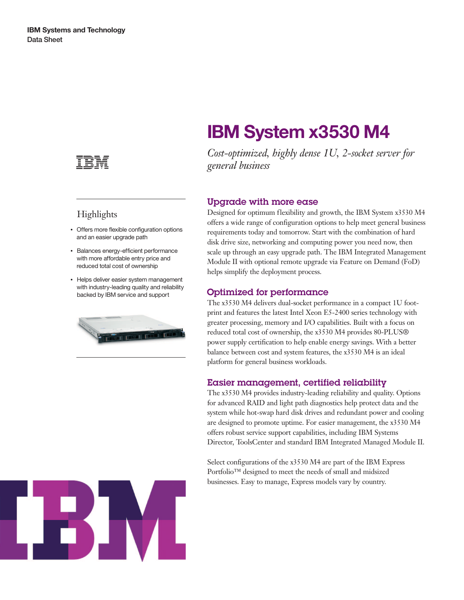

## **Highlights**

- Offers more flexible configuration options and an easier upgrade path
- Balances energy-efficient performance with more affordable entry price and reduced total cost of ownership
- Helps deliver easier system management with industry-leading quality and reliability backed by IBM service and support



# ES EVIL

# **IBM System x3530 M4**

*Cost-optimized, highly dense 1U, 2-socket server for general business*

### Upgrade with more ease

Designed for optimum flexibility and growth, the IBM System x3530 M4 offers a wide range of configuration options to help meet general business requirements today and tomorrow. Start with the combination of hard disk drive size, networking and computing power you need now, then scale up through an easy upgrade path. The IBM Integrated Management Module II with optional remote upgrade via Feature on Demand (FoD) helps simplify the deployment process.

### Optimized for performance

The x3530 M4 delivers dual-socket performance in a compact 1U footprint and features the latest Intel Xeon E5-2400 series technology with greater processing, memory and I/O capabilities. Built with a focus on reduced total cost of ownership, the x3530 M4 provides 80-PLUS® power supply certification to help enable energy savings. With a better balance between cost and system features, the x3530 M4 is an ideal platform for general business workloads.

### Easier management, certified reliability

The x3530 M4 provides industry-leading reliability and quality. Options for advanced RAID and light path diagnostics help protect data and the system while hot-swap hard disk drives and redundant power and cooling are designed to promote uptime. For easier management, the x3530 M4 offers robust service support capabilities, including IBM Systems Director, ToolsCenter and standard IBM Integrated Managed Module II.

Select configurations of the x3530 M4 are part of the IBM Express Portfolio™ designed to meet the needs of small and midsized businesses. Easy to manage, Express models vary by country.